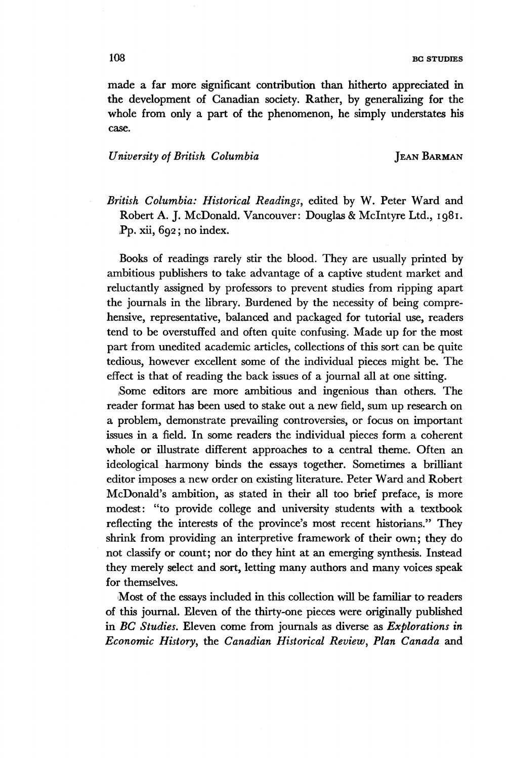made a far more significant contribution than hitherto appreciated in the development of Canadian society. Rather, by generalizing for the whole from only a part of the phenomenon, he simply understates his case.

## *University of British Columbia* JEAN BARMAN

*British Columbia: Historical Readings,* edited by W. Peter Ward and Robert A. J. McDonald. Vancouver: Douglas & Mclntyre Ltd., 1981. Pp. xii, 692 ; no index.

Books of readings rarely stir the blood. They are usually printed by ambitious publishers to take advantage of a captive student market and reluctantly assigned by professors to prevent studies from ripping apart the journals in the library. Burdened by the necessity of being comprehensive, representative, balanced and packaged for tutorial use, readers tend to be overstuffed and often quite confusing. Made up for the most part from unedited academic articles, collections of this sort can be quite tedious, however excellent some of the individual pieces might be. The effect is that of reading the back issues of a journal all at one sitting.

Some editors are more ambitious and ingenious than others. The reader format has been used to stake out a new field, sum up research on a problem, demonstrate prevailing controversies, or focus on important issues in a field. In some readers the individual pieces form a coherent whole or illustrate different approaches to a central theme. Often an ideological harmony binds the essays together. Sometimes a brilliant editor imposes a new order on existing literature. Peter Ward and Robert McDonald's ambition, as stated in their all too brief preface, is more modest: "to provide college and university students with a textbook reflecting the interests of the province's most recent historians." They shrink from providing an interpretive framework of their own; they do not classify or count; nor do they hint at an emerging synthesis. Instead they merely select and sort, letting many authors and many voices speak for themselves.

Most of the essays included in this collection will be familiar to readers of this journal. Eleven of the thirty-one pieces were originally published in *BC Studies.* Eleven come from journals as diverse as *Explorations in Economic History,* the *Canadian Historical Review, Plan Canada* and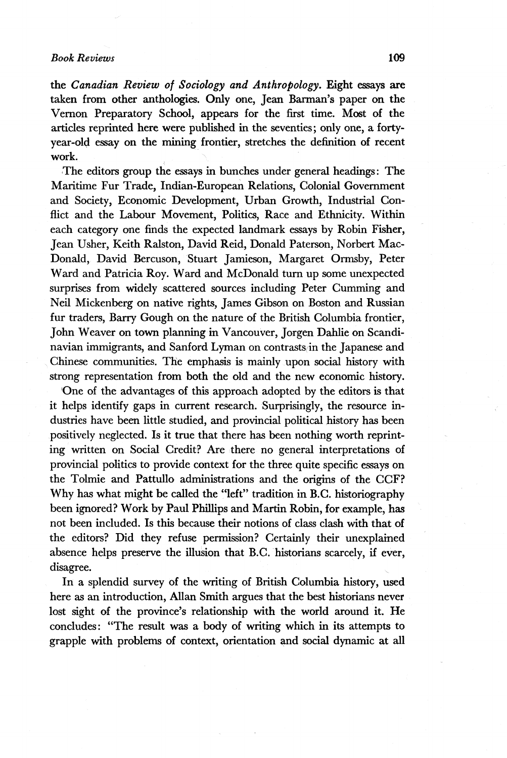# *Book Reviews* 109

the *Canadian Review of Sociology and Anthropology.* Eight essays are taken from other anthologies. Only one, Jean Barman's paper on the Vernon Preparatory School, appears for the first time. Most of the articles reprinted here were published in the seventies; only one, a fortyyear-old essay on the mining frontier, stretches the definition of recent work.

The editors group the essays in bunches under general headings: The Maritime Fur Trade, Indian-European Relations, Colonial Government and Society, Economic Development, Urban Growth, Industrial Conflict and the Labour Movement, Politics, Race and Ethnicity. Within each category one finds the expected landmark essays by Robin Fisher, Jean Usher, Keith Ralston, David Reid, Donald Paterson, Norbert Mac-Donald, David Bercuson, Stuart Jamieson, Margaret Ormsby, Peter Ward and Patricia Roy. Ward and McDonald turn up some unexpected surprises from widely scattered sources including Peter Gumming and Neil Mickenberg on native rights, James Gibson on Boston and Russian fur traders, Barry Gough on the nature of the British Columbia frontier, John Weaver on town planning in Vancouver, Jorgen Dahlie on Scandinavian immigrants, and Sanford Lyman on contrasts in the Japanese and Chinese communities. The emphasis is mainly upon social history with strong representation from both the old and the new economic history.

One of the advantages of this approach adopted by the editors is that it helps identify gaps in current research. Surprisingly, the resource industries have been little studied, and provincial political history has been positively neglected. Is it true that there has been nothing worth reprinting written on Social Credit? Are there no general interpretations of provincial politics to provide context for the three quite specific essays on the Tolmie and Pattullo administrations and the origins of the CCF? Why has what might be called the "left" tradition in B.C. historiography been ignored? Work by Paul Phillips and Martin Robin, for example, has not been included. Is this because their notions of class clash with that of the editors? Did they refuse permission? Certainly their unexplained absence helps preserve the illusion that B.C. historians scarcely, if ever, disagree.

In a splendid survey of the writing of British Columbia history, used here as an introduction, Allan Smith argues that the best historians never lost sight of the province's relationship with the world around it. He concludes: "The result was a body of writing which in its attempts to grapple with problems of context, orientation ^nd social dynamic at all